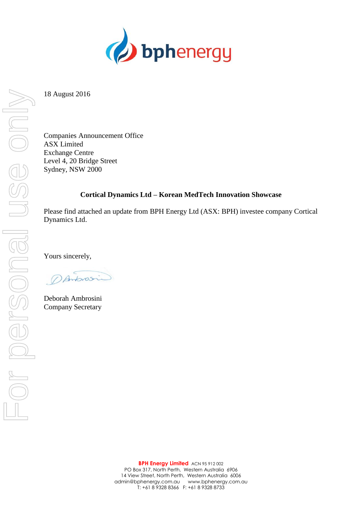

18 August 2016

Companies Announcement Office ASX Limited Exchange Centre Level 4, 20 Bridge Street Sydney, NSW 2000

## **Cortical Dynamics Ltd – Korean MedTech Innovation Showcase**

Please find attached an update from BPH Energy Ltd (ASX: BPH) investee company Cortical Dynamics Ltd.

Yours sincerely,

DAntonsin

Deborah Ambrosini Company Secretary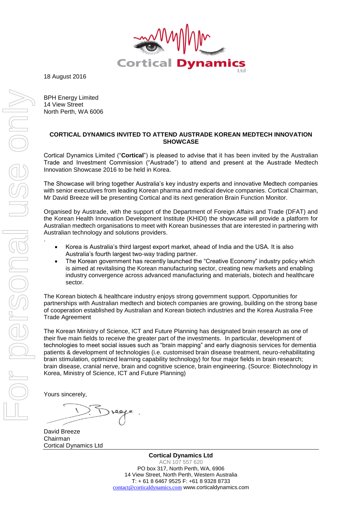

18 August 2016

BPH Energy Limited 14 View Street North Perth, WA 6006

## **CORTICAL DYNAMICS INVITED TO ATTEND AUSTRADE KOREAN MEDTECH INNOVATION SHOWCASE**

Cortical Dynamics Limited ("**Cortical**") is pleased to advise that it has been invited by the Australian Trade and Investment Commission ("Austrade") to attend and present at the Austrade Medtech Innovation Showcase 2016 to be held in Korea.

The Showcase will bring together Australia's key industry experts and innovative Medtech companies with senior executives from leading Korean pharma and medical device companies. Cortical Chairman, Mr David Breeze will be presenting Cortical and its next generation Brain Function Monitor.

Organised by Austrade, with the support of the Department of Foreign Affairs and Trade (DFAT) and the Korean Health Innovation Development Institute (KHIDI) the showcase will provide a platform for Australian medtech organisations to meet with Korean businesses that are interested in partnering with Australian technology and solutions providers.

- Korea is Australia's third largest export market, ahead of India and the USA. It is also Australia's fourth largest two-way trading partner.
- The Korean government has recently launched the "Creative Economy" industry policy which is aimed at revitalising the Korean manufacturing sector, creating new markets and enabling industry convergence across advanced manufacturing and materials, biotech and healthcare sector.

The Korean biotech & healthcare industry enjoys strong government support. Opportunities for partnerships with Australian medtech and biotech companies are growing, building on the strong base of cooperation established by Australian and Korean biotech industries and the Korea Australia Free Trade Agreement

[The Korean Ministry of Science, ICT and Future Planning](http://english.msip.go.kr/english/main/main.do) has designated brain research as one of their five main fields to receive the greater part of the investments. In particular, development of technologies to meet social issues such as "brain mapping" and early diagnosis services for dementia patients & development of technologies (i.e. customised brain disease treatment, neuro-rehabilitating brain stimulation, optimized learning capability technology) for four major fields in brain research; brain disease, cranial nerve, brain and cognitive science, brain engineering. (Source: Biotechnology in Korea, Ministry of Science, ICT and Future Planning)

Yours sincerely,

David Breeze Chairman Cortical Dynamics Ltd

**Cortical Dynamics Ltd** ACN 107 557 620 PO box 317, North Perth, WA, 6906 14 View Street, North Perth, Western Australia T: + 61 8 6467 9525 F: +61 8 9328 8733 [contact@corticaldynamics.com](mailto:contact@corticaldynamics.com) www.corticaldynamics.com

.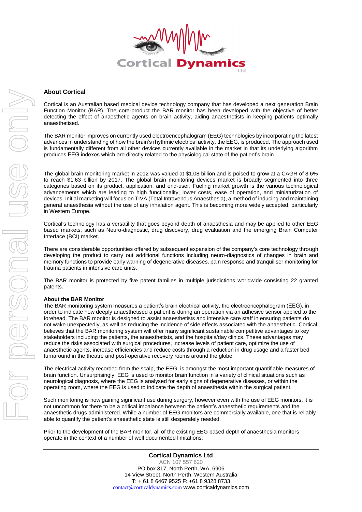

## **About Cortical**

Cortical is an Australian based medical device technology company that has developed a next generation Brain Function Monitor (BAR). The core-product the BAR monitor has been developed with the objective of better detecting the effect of anaesthetic agents on brain activity, aiding anaesthetists in keeping patients optimally anaesthetised.

The BAR monitor improves on currently used electroencephalogram (EEG) technologies by incorporating the latest advances in understanding of how the brain's rhythmic electrical activity, the EEG, is produced. The approach used is fundamentally different from all other devices currently available in the market in that its underlying algorithm produces EEG indexes which are directly related to the physiological state of the patient's brain.

The global brain monitoring market in 2012 was valued at \$1.08 billion and is poised to grow at a CAGR of 8.6% to reach \$1.63 billion by 2017. The global brain monitoring devices market is broadly segmented into three categories based on its product, application, and end-user. Fueling market growth is the various technological advancements which are leading to high functionality, lower costs, ease of operation, and miniaturization of devices. Initial marketing will focus on TIVA (Total Intravenous Anaesthesia), a method of inducing and maintaining general anaesthesia without the use of any inhalation agent. This is becoming more widely accepted, particularly in Western Europe.

Cortical's technology has a versatility that goes beyond depth of anaesthesia and may be applied to other EEG based markets, such as Neuro-diagnostic, drug discovery, drug evaluation and the emerging Brain Computer Interface (BCI) market.

There are considerable opportunities offered by subsequent expansion of the company's core technology through developing the product to carry out additional functions including neuro-diagnostics of changes in brain and memory functions to provide early warning of degenerative diseases, pain response and tranquiliser monitoring for trauma patients in intensive care units.

The BAR monitor is protected by five patent families in multiple jurisdictions worldwide consisting 22 granted patents.

## **About the BAR Monitor**

The BAR monitoring system measures a patient's brain electrical activity, the electroencephalogram (EEG), in order to indicate how deeply anaesthetised a patient is during an operation via an adhesive sensor applied to the forehead. The BAR monitor is designed to assist anaesthetists and intensive care staff in ensuring patients do not wake unexpectedly, as well as reducing the incidence of side effects associated with the anaesthetic. Cortical believes that the BAR monitoring system will offer many significant sustainable competitive advantages to key stakeholders including the patients, the anaesthetists, and the hospitals/day clinics. These advantages may reduce the risks associated with surgical procedures, increase levels of patient care, optimize the use of anaesthetic agents, increase efficiencies and reduce costs through a reduction in drug usage and a faster bed turnaround in the theatre and post-operative recovery rooms around the globe.

The electrical activity recorded from the scalp, the EEG, is amongst the most important quantifiable measures of brain function. Unsurprisingly, EEG is used to monitor brain function in a variety of clinical situations such as neurological diagnosis, where the EEG is analysed for early signs of degenerative diseases, or within the operating room, where the EEG is used to indicate the depth of anaesthesia within the surgical patient.

Such monitoring is now gaining significant use during surgery, however even with the use of EEG monitors, it is not uncommon for there to be a critical imbalance between the patient's anaesthetic requirements and the anaesthetic drugs administered. While a number of EEG monitors are commercially available, one that is reliably able to quantify the patient's anaesthetic state is still desperately needed.

Prior to the development of the BAR monitor, all of the existing EEG based depth of anaesthesia monitors operate in the context of a number of well documented limitations: